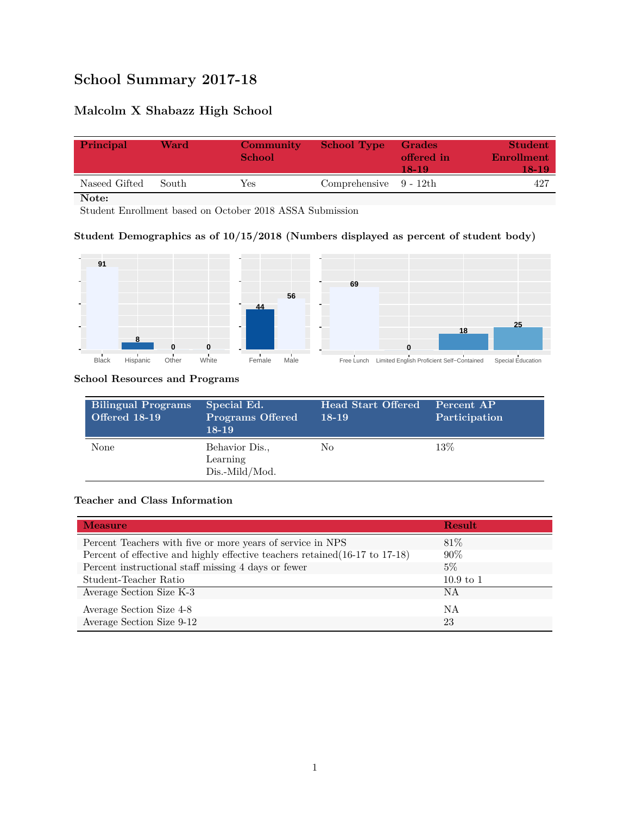# **School Summary 2017-18**

# **Malcolm X Shabazz High School**

| Principal     | Ward  | Community<br><b>School</b> | <b>School Type</b>        | <b>Grades</b><br>offered in<br>18-19 | Student<br>Enrollment<br>18-19 |
|---------------|-------|----------------------------|---------------------------|--------------------------------------|--------------------------------|
| Naseed Gifted | South | Yes.                       | Comprehensive $9 - 12$ th |                                      | 427                            |

**Note:**

Student Enrollment based on October 2018 ASSA Submission

# **Student Demographics as of 10/15/2018 (Numbers displayed as percent of student body)**



#### **School Resources and Programs**

| Bilingual Programs<br><b>Offered 18-19</b> | Special Ed.<br><b>Programs Offered</b><br>$18-19$ | <b>Head Start Offered</b><br>18-19 | Percent AP<br>Participation |
|--------------------------------------------|---------------------------------------------------|------------------------------------|-----------------------------|
| None                                       | Behavior Dis.,<br>Learning<br>Dis.-Mild/Mod.      | No                                 | 13\%                        |

# **Teacher and Class Information**

| <b>Measure</b>                                                               | Result      |
|------------------------------------------------------------------------------|-------------|
| Percent Teachers with five or more years of service in NPS                   | 81\%        |
| Percent of effective and highly effective teachers retained (16-17 to 17-18) | $90\%$      |
| Percent instructional staff missing 4 days or fewer                          | $5\%$       |
| Student-Teacher Ratio                                                        | $10.9$ to 1 |
| Average Section Size K-3                                                     | ΝA          |
| Average Section Size 4-8                                                     | ΝA          |
| Average Section Size 9-12                                                    | 23          |